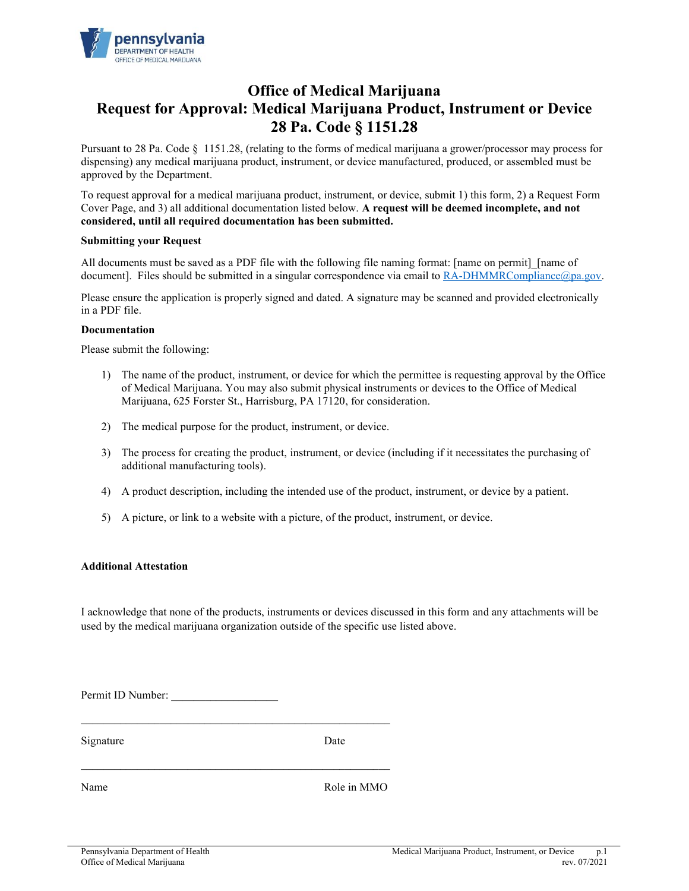

# **Office of Medical Marijuana Request for Approval: Medical Marijuana Product, Instrument or Device 28 Pa. Code § 1151.28**

Pursuant to 28 Pa. Code § 1151.28, (relating to the forms of medical marijuana a grower/processor may process for dispensing) any medical marijuana product, instrument, or device manufactured, produced, or assembled must be approved by the Department.

To request approval for a medical marijuana product, instrument, or device, submit 1) this form, 2) a Request Form Cover Page, and 3) all additional documentation listed below. **A request will be deemed incomplete, and not considered, until all required documentation has been submitted.**

#### **Submitting your Request**

All documents must be saved as a PDF file with the following file naming format: [name on permit] [name of document]. Files should be submitted in a singular correspondence via email to RA-DHMMRCompliance@pa.gov.

Please ensure the application is properly signed and dated. A signature may be scanned and provided electronically in a PDF file.

#### **Documentation**

Please submit the following:

- 1) The name of the product, instrument, or device for which the permittee is requesting approval by the Office of Medical Marijuana. You may also submit physical instruments or devices to the Office of Medical Marijuana, 625 Forster St., Harrisburg, PA 17120, for consideration.
- 2) The medical purpose for the product, instrument, or device.
- 3) The process for creating the product, instrument, or device (including if it necessitates the purchasing of additional manufacturing tools).
- 4) A product description, including the intended use of the product, instrument, or device by a patient.
- 5) A picture, or link to a website with a picture, of the product, instrument, or device.

## **Additional Attestation**

I acknowledge that none of the products, instruments or devices discussed in this form and any attachments will be used by the medical marijuana organization outside of the specific use listed above.

Permit ID Number:

 $\mathcal{L}_\text{max}$  , and the contract of the contract of the contract of the contract of the contract of the contract of

Signature Date

Name Role in MMO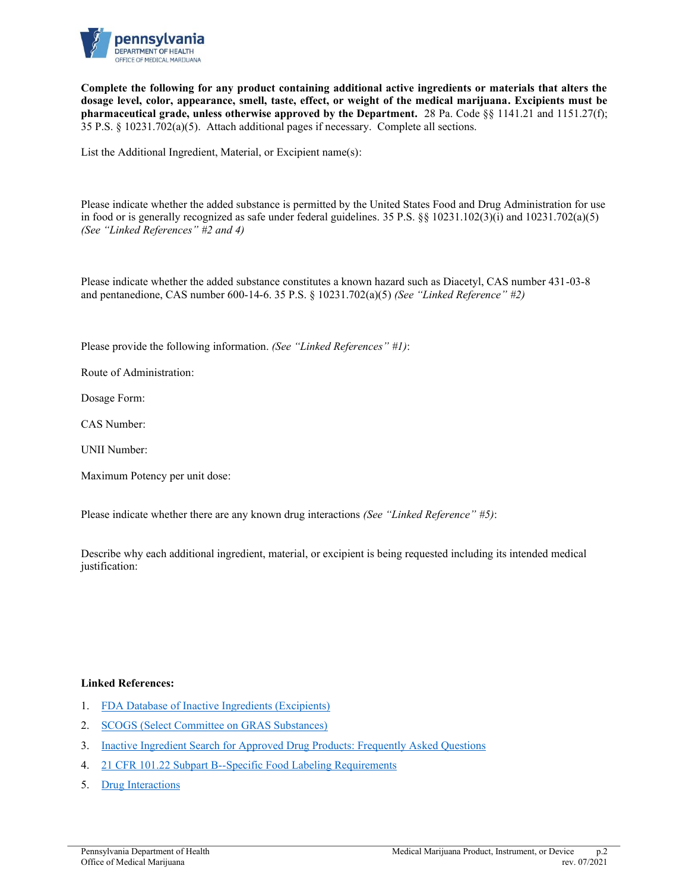

**Complete the following for any product containing additional active ingredients or materials that alters the dosage level, color, appearance, smell, taste, effect, or weight of the medical marijuana. Excipients must be pharmaceutical grade, unless otherwise approved by the Department.** 28 Pa. Code §§ 1141.21 and 1151.27(f); 35 P.S. § 10231.702(a)(5). Attach additional pages if necessary. Complete all sections.

List the Additional Ingredient, Material, or Excipient name(s):

Please indicate whether the added substance is permitted by the United States Food and Drug Administration for use in food or is generally recognized as safe under federal guidelines. 35 P.S. [§§ 10231.102\(3\)\(i\)](https://www.legis.state.pa.us/cfdocs/legis/LI/uconsCheck.cfm?txtType=HTM&yr=2016&sessInd=0&smthLwInd=0&act=16&chpt=1&sctn=2&subsctn=0) and 10231.702(a)(5) *(See "Linked References" #2 and 4)*

Please indicate whether the added substance constitutes a known hazard such as Diacetyl, CAS number 431-03-8 and pentanedione, CAS number 600-14-6. 35 P.S. § 10231.702(a)(5) *(See "Linked Reference" #2)*

Please provide the following information. *(See "Linked References" #1)*:

Route of Administration:

Dosage Form:

CAS Number:

UNII Number:

Maximum Potency per unit dose:

Please indicate whether there are any known drug interactions *(See "Linked Reference" #5)*:

Describe why each additional ingredient, material, or excipient is being requested including its intended medical justification:

## **Linked References:**

- 1. [FDA Database of Inactive Ingredients \(Excipients\)](https://www.accessdata.fda.gov/scripts/cder/iig/index.Cfm)
- 2. [SCOGS \(Select Committee on GRAS Substances\)](https://www.accessdata.fda.gov/scripts/fdcc/?set=SCOGS)
- 3. [Inactive Ingredient Search for Approved Drug Products: Frequently Asked Questions](https://www.fda.gov/Drugs/InformationOnDrugs/ucm080123.htm)
- 4. [21 CFR 101.22 Subpart B--Specific Food Labeling Requirements](https://www.accessdata.fda.gov/scripts/cdrh/cfdocs/cfcfr/cfrsearch.cfm?fr=101.22)
- 5. [Drug Interactions](https://www.drugs.com/drug_interactions.html)